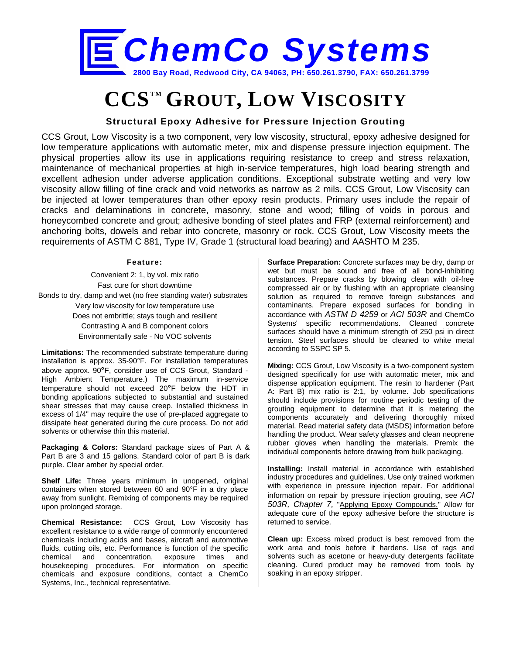

# **CCSTM GROUT, LOW VISCOSITY**

## **Structural Epoxy Adhesive for Pressure Injection Grouting**

CCS Grout, Low Viscosity is a two component, very low viscosity, structural, epoxy adhesive designed for low temperature applications with automatic meter, mix and dispense pressure injection equipment. The physical properties allow its use in applications requiring resistance to creep and stress relaxation, maintenance of mechanical properties at high in-service temperatures, high load bearing strength and excellent adhesion under adverse application conditions. Exceptional substrate wetting and very low viscosity allow filling of fine crack and void networks as narrow as 2 mils. CCS Grout, Low Viscosity can be injected at lower temperatures than other epoxy resin products. Primary uses include the repair of cracks and delaminations in concrete, masonry, stone and wood; filling of voids in porous and honeycombed concrete and grout; adhesive bonding of steel plates and FRP (external reinforcement) and anchoring bolts, dowels and rebar into concrete, masonry or rock. CCS Grout, Low Viscosity meets the requirements of ASTM C 881, Type IV, Grade 1 (structural load bearing) and AASHTO M 235.

#### **Feature:**

Convenient 2: 1, by vol. mix ratio Fast cure for short downtime Bonds to dry, damp and wet (no free standing water) substrates Very low viscosity for low temperature use Does not embrittle; stays tough and resilient Contrasting A and B component colors Environmentally safe - No VOC solvents

**Limitations:** The recommended substrate temperature during installation is approx. 35-90°F. For installation temperatures above approx. 90**°**F, consider use of CCS Grout, Standard - High Ambient Temperature.) The maximum in-service temperature should not exceed 20**°**F below the HDT in bonding applications subjected to substantial and sustained shear stresses that may cause creep. Installed thickness in excess of 1/4" may require the use of pre-placed aggregate to dissipate heat generated during the cure process. Do not add solvents or otherwise thin this material.

**Packaging & Colors:** Standard package sizes of Part A & Part B are 3 and 15 gallons. Standard color of part B is dark purple. Clear amber by special order.

Shelf Life: Three years minimum in unopened, original containers when stored between 60 and 90°F in a dry place away from sunlight. Remixing of components may be required upon prolonged storage.

**Chemical Resistance:** CCS Grout, Low Viscosity has excellent resistance to a wide range of commonly encountered chemicals including acids and bases, aircraft and automotive fluids, cutting oils, etc. Performance is function of the specific chemical and concentration, exposure times and housekeeping procedures. For information on specific chemicals and exposure conditions, contact a ChemCo Systems, Inc., technical representative.

**Surface Preparation:** Concrete surfaces may be dry, damp or wet but must be sound and free of all bond-inhibiting substances. Prepare cracks by blowing clean with oil-free compressed air or by flushing with an appropriate cleansing solution as required to remove foreign substances and contaminants. Prepare exposed surfaces for bonding in accordance with *ASTM D 4259* or *ACI 503R* and ChemCo Systems' specific recommendations. Cleaned concrete surfaces should have a minimum strength of 250 psi in direct tension. Steel surfaces should be cleaned to white metal according to SSPC SP 5.

**Mixing:** CCS Grout, Low Viscosity is a two-component system designed specifically for use with automatic meter, mix and dispense application equipment. The resin to hardener (Part A: Part B) mix ratio is 2:1, by volume. Job specifications should include provisions for routine periodic testing of the grouting equipment to determine that it is metering the components accurately and delivering thoroughly mixed material. Read material safety data (MSDS) information before handling the product. Wear safety glasses and clean neoprene rubber gloves when handling the materials. Premix the individual components before drawing from bulk packaging.

**Installing:** Install material in accordance with established industry procedures and guidelines. Use only trained workmen with experience in pressure injection repair. For additional information on repair by pressure injection grouting, see *ACI 503R, Chapter 7,* "Applying Epoxy Compounds." Allow for adequate cure of the epoxy adhesive before the structure is returned to service.

**Clean up:** Excess mixed product is best removed from the work area and tools before it hardens. Use of rags and solvents such as acetone or heavy-duty detergents facilitate cleaning. Cured product may be removed from tools by soaking in an epoxy stripper.